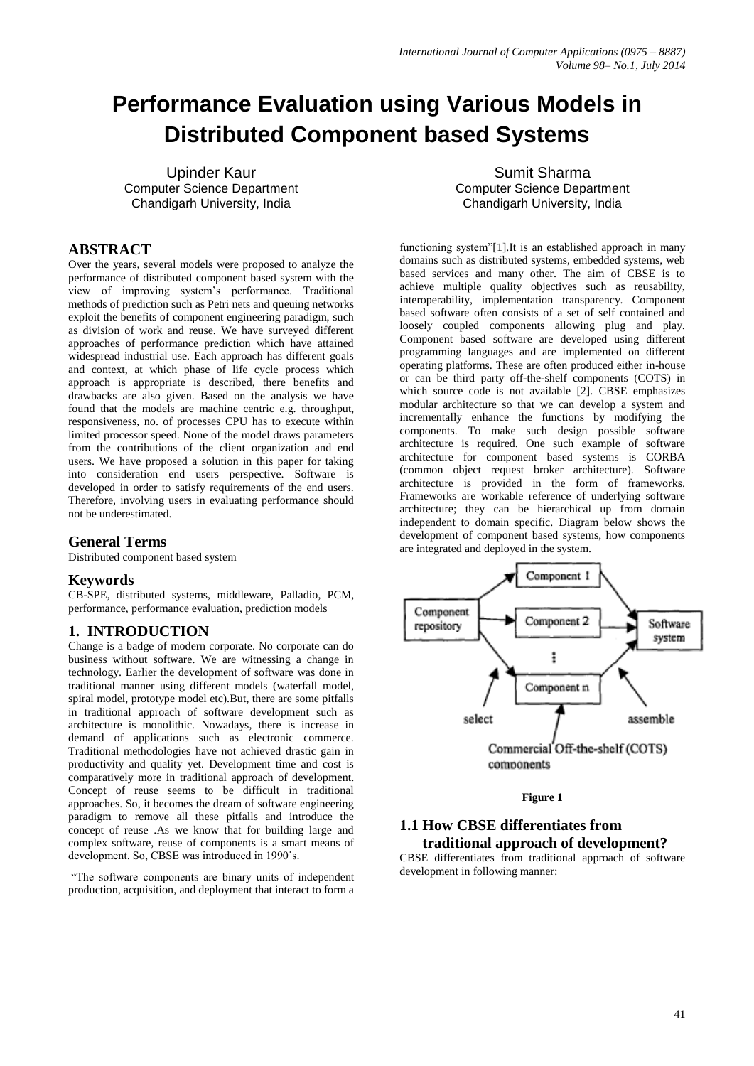# **Performance Evaluation using Various Models in Distributed Component based Systems**

Upinder Kaur Computer Science Department Chandigarh University, India

## **ABSTRACT**

Over the years, several models were proposed to analyze the performance of distributed component based system with the view of improving system's performance. Traditional methods of prediction such as Petri nets and queuing networks exploit the benefits of component engineering paradigm, such as division of work and reuse. We have surveyed different approaches of performance prediction which have attained widespread industrial use. Each approach has different goals and context, at which phase of life cycle process which approach is appropriate is described, there benefits and drawbacks are also given. Based on the analysis we have found that the models are machine centric e.g. throughput, responsiveness, no. of processes CPU has to execute within limited processor speed. None of the model draws parameters from the contributions of the client organization and end users. We have proposed a solution in this paper for taking into consideration end users perspective. Software is developed in order to satisfy requirements of the end users. Therefore, involving users in evaluating performance should not be underestimated.

## **General Terms**

Distributed component based system

#### **Keywords**

CB-SPE, distributed systems, middleware, Palladio, PCM, performance, performance evaluation, prediction models

## **1. INTRODUCTION**

Change is a badge of modern corporate. No corporate can do business without software. We are witnessing a change in technology. Earlier the development of software was done in traditional manner using different models (waterfall model, spiral model, prototype model etc).But, there are some pitfalls in traditional approach of software development such as architecture is monolithic. Nowadays, there is increase in demand of applications such as electronic commerce. Traditional methodologies have not achieved drastic gain in productivity and quality yet. Development time and cost is comparatively more in traditional approach of development. Concept of reuse seems to be difficult in traditional approaches. So, it becomes the dream of software engineering paradigm to remove all these pitfalls and introduce the concept of reuse .As we know that for building large and complex software, reuse of components is a smart means of development. So, CBSE was introduced in 1990's.

"The software components are binary units of independent production, acquisition, and deployment that interact to form a

Sumit Sharma Computer Science Department Chandigarh University, India

functioning system"[1].It is an established approach in many domains such as distributed systems, embedded systems, web based services and many other. The aim of CBSE is to achieve multiple quality objectives such as reusability, interoperability, implementation transparency. Component based software often consists of a set of self contained and loosely coupled components allowing plug and play. Component based software are developed using different programming languages and are implemented on different operating platforms. These are often produced either in-house or can be third party off-the-shelf components (COTS) in which source code is not available [2]. CBSE emphasizes modular architecture so that we can develop a system and incrementally enhance the functions by modifying the components. To make such design possible software architecture is required. One such example of software architecture for component based systems is CORBA (common object request broker architecture). Software architecture is provided in the form of frameworks. Frameworks are workable reference of underlying software architecture; they can be hierarchical up from domain independent to domain specific. Diagram below shows the development of component based systems, how components are integrated and deployed in the system.





## **1.1 How CBSE differentiates from traditional approach of development?**

CBSE differentiates from traditional approach of software development in following manner: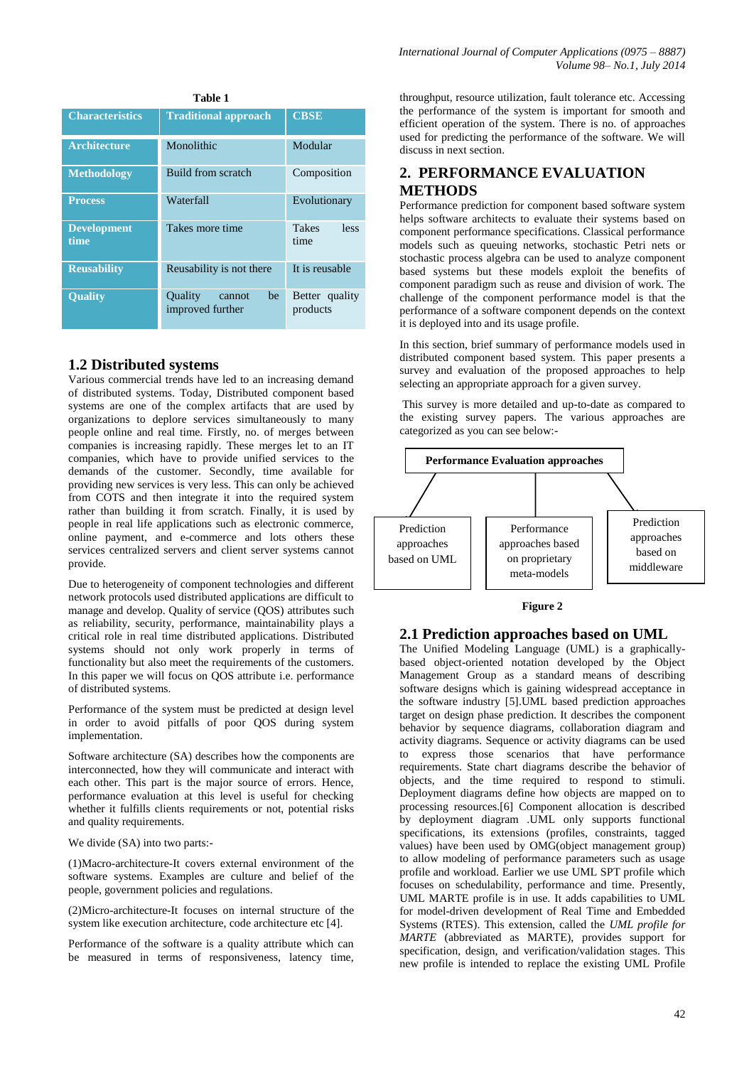| 1 aviv 1                   |                                                    |                              |  |  |
|----------------------------|----------------------------------------------------|------------------------------|--|--|
| <b>Characteristics</b>     | <b>Traditional approach</b>                        | <b>CBSE</b>                  |  |  |
| <b>Architecture</b>        | Monolithic                                         | Modular                      |  |  |
| <b>Methodology</b>         | Build from scratch                                 | Composition                  |  |  |
| <b>Process</b>             | Waterfall                                          | Evolutionary                 |  |  |
| <b>Development</b><br>time | Takes more time                                    | <b>Takes</b><br>less<br>time |  |  |
| <b>Reusability</b>         | Reusability is not there                           | It is reusable               |  |  |
| <b>Quality</b>             | <b>Ouality</b><br>be<br>cannot<br>improved further | Better quality<br>products   |  |  |

**Table 1**

#### **1.2 Distributed systems**

Various commercial trends have led to an increasing demand of distributed systems. Today, Distributed component based systems are one of the complex artifacts that are used by organizations to deplore services simultaneously to many people online and real time. Firstly, no. of merges between companies is increasing rapidly. These merges let to an IT companies, which have to provide unified services to the demands of the customer. Secondly, time available for providing new services is very less. This can only be achieved from COTS and then integrate it into the required system rather than building it from scratch. Finally, it is used by people in real life applications such as electronic commerce, online payment, and e-commerce and lots others these services centralized servers and client server systems cannot provide.

Due to heterogeneity of component technologies and different network protocols used distributed applications are difficult to manage and develop. Quality of service (QOS) attributes such as reliability, security, performance, maintainability plays a critical role in real time distributed applications. Distributed systems should not only work properly in terms of functionality but also meet the requirements of the customers. In this paper we will focus on QOS attribute i.e. performance of distributed systems.

Performance of the system must be predicted at design level in order to avoid pitfalls of poor QOS during system implementation.

Software architecture (SA) describes how the components are interconnected, how they will communicate and interact with each other. This part is the major source of errors. Hence, performance evaluation at this level is useful for checking whether it fulfills clients requirements or not, potential risks and quality requirements.

We divide (SA) into two parts:-

(1)Macro-architecture-It covers external environment of the software systems. Examples are culture and belief of the people, government policies and regulations.

(2)Micro-architecture-It focuses on internal structure of the system like execution architecture, code architecture etc [4].

Performance of the software is a quality attribute which can be measured in terms of responsiveness, latency time,

throughput, resource utilization, fault tolerance etc. Accessing the performance of the system is important for smooth and efficient operation of the system. There is no. of approaches used for predicting the performance of the software. We will discuss in next section.

# **2. PERFORMANCE EVALUATION METHODS**

Performance prediction for component based software system helps software architects to evaluate their systems based on component performance specifications. Classical performance models such as queuing networks, stochastic Petri nets or stochastic process algebra can be used to analyze component based systems but these models exploit the benefits of component paradigm such as reuse and division of work. The challenge of the component performance model is that the performance of a software component depends on the context it is deployed into and its usage profile.

In this section, brief summary of performance models used in distributed component based system. This paper presents a survey and evaluation of the proposed approaches to help selecting an appropriate approach for a given survey.

This survey is more detailed and up-to-date as compared to the existing survey papers. The various approaches are categorized as you can see below:-



#### **Figure 2**

#### **2.1 Prediction approaches based on UML**

The Unified Modeling Language (UML) is a graphicallybased object-oriented notation developed by the Object Management Group as a standard means of describing software designs which is gaining widespread acceptance in the software industry [5].UML based prediction approaches target on design phase prediction. It describes the component behavior by sequence diagrams, collaboration diagram and activity diagrams. Sequence or activity diagrams can be used to express those scenarios that have performance requirements. State chart diagrams describe the behavior of objects, and the time required to respond to stimuli. Deployment diagrams define how objects are mapped on to processing resources.[6] Component allocation is described by deployment diagram .UML only supports functional specifications, its extensions (profiles, constraints, tagged values) have been used by OMG(object management group) to allow modeling of performance parameters such as usage profile and workload. Earlier we use UML SPT profile which focuses on schedulability, performance and time. Presently, UML MARTE profile is in use. It adds capabilities to UML for model-driven development of Real Time and Embedded Systems (RTES). This extension, called the *UML profile for MARTE* (abbreviated as MARTE), provides support for specification, design, and verification/validation stages. This new profile is intended to replace the existing UML Profile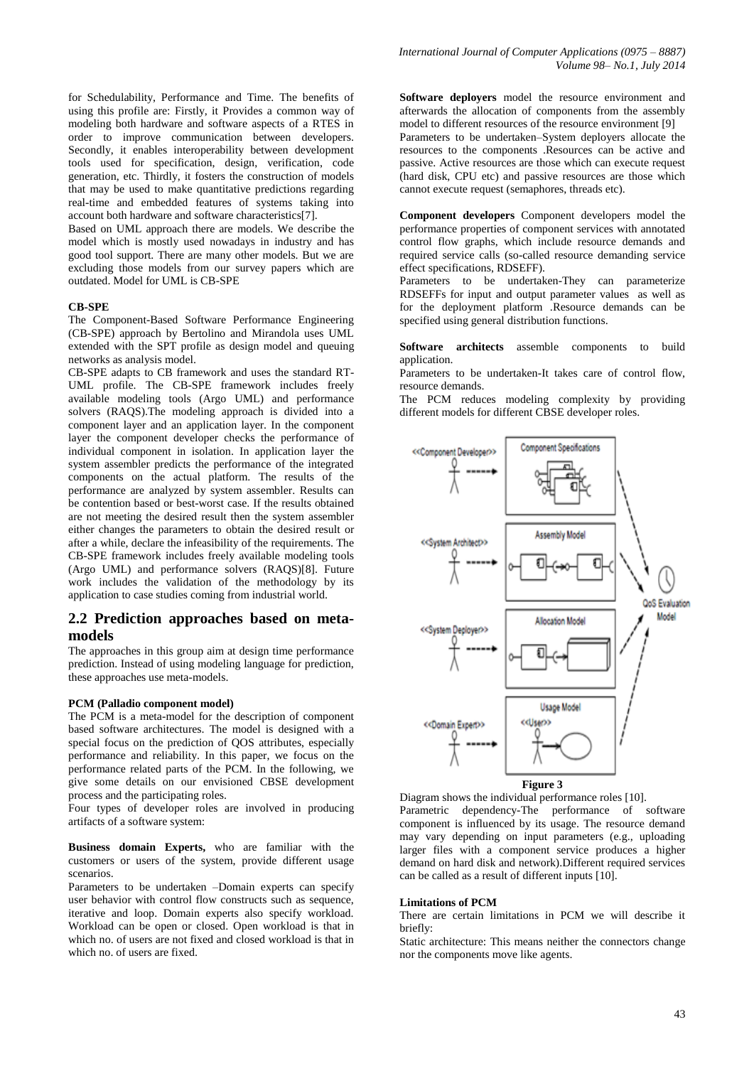for Schedulability, Performance and Time. The benefits of using this profile are: Firstly, it Provides a common way of modeling both hardware and software aspects of a RTES in order to improve communication between developers. Secondly, it enables interoperability between development tools used for specification, design, verification, code generation, etc. Thirdly, it fosters the construction of models that may be used to make quantitative predictions regarding real-time and embedded features of systems taking into account both hardware and software characteristics[7].

Based on UML approach there are models. We describe the model which is mostly used nowadays in industry and has good tool support. There are many other models. But we are excluding those models from our survey papers which are outdated. Model for UML is CB-SPE

#### **CB-SPE**

The Component-Based Software Performance Engineering (CB-SPE) approach by Bertolino and Mirandola uses UML extended with the SPT profile as design model and queuing networks as analysis model.

CB-SPE adapts to CB framework and uses the standard RT-UML profile. The CB-SPE framework includes freely available modeling tools (Argo UML) and performance solvers (RAQS).The modeling approach is divided into a component layer and an application layer. In the component layer the component developer checks the performance of individual component in isolation. In application layer the system assembler predicts the performance of the integrated components on the actual platform. The results of the performance are analyzed by system assembler. Results can be contention based or best-worst case. If the results obtained are not meeting the desired result then the system assembler either changes the parameters to obtain the desired result or after a while, declare the infeasibility of the requirements. The CB-SPE framework includes freely available modeling tools (Argo UML) and performance solvers (RAQS)[8]. Future work includes the validation of the methodology by its application to case studies coming from industrial world.

#### **2.2 Prediction approaches based on metamodels**

The approaches in this group aim at design time performance prediction. Instead of using modeling language for prediction, these approaches use meta-models.

#### **PCM (Palladio component model)**

The PCM is a meta-model for the description of component based software architectures. The model is designed with a special focus on the prediction of QOS attributes, especially performance and reliability. In this paper, we focus on the performance related parts of the PCM. In the following, we give some details on our envisioned CBSE development process and the participating roles.

Four types of developer roles are involved in producing artifacts of a software system:

**Business domain Experts,** who are familiar with the customers or users of the system, provide different usage scenarios.

Parameters to be undertaken –Domain experts can specify user behavior with control flow constructs such as sequence, iterative and loop. Domain experts also specify workload. Workload can be open or closed. Open workload is that in which no. of users are not fixed and closed workload is that in which no. of users are fixed.

**Software deployers** model the resource environment and afterwards the allocation of components from the assembly model to different resources of the resource environment [9] Parameters to be undertaken–System deployers allocate the

resources to the components .Resources can be active and passive. Active resources are those which can execute request (hard disk, CPU etc) and passive resources are those which cannot execute request (semaphores, threads etc).

**Component developers** Component developers model the performance properties of component services with annotated control flow graphs, which include resource demands and required service calls (so-called resource demanding service effect specifications, RDSEFF).

Parameters to be undertaken-They can parameterize RDSEFFs for input and output parameter values as well as for the deployment platform .Resource demands can be specified using general distribution functions.

**Software architects** assemble components to build application.

Parameters to be undertaken-It takes care of control flow, resource demands.

The PCM reduces modeling complexity by providing different models for different CBSE developer roles.



Diagram shows the individual performance roles [10]. Parametric dependency-The performance of software component is influenced by its usage. The resource demand may vary depending on input parameters (e.g., uploading larger files with a component service produces a higher demand on hard disk and network).Different required services can be called as a result of different inputs [10].

#### **Limitations of PCM**

There are certain limitations in PCM we will describe it briefly:

Static architecture: This means neither the connectors change nor the components move like agents.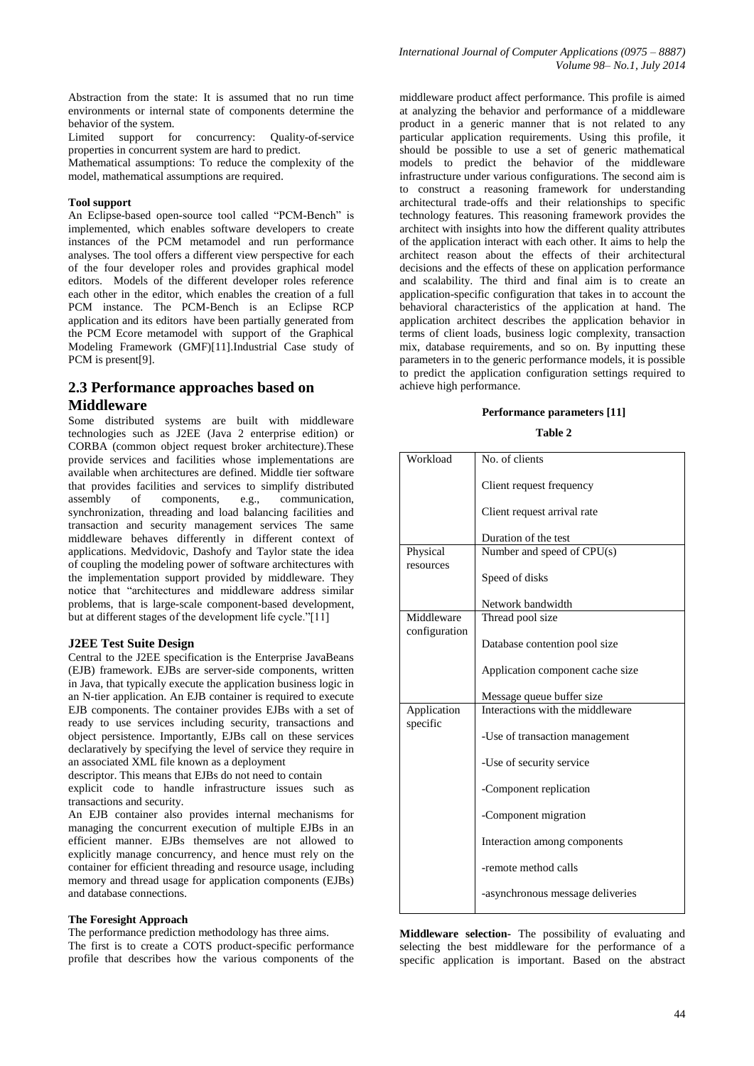Abstraction from the state: It is assumed that no run time environments or internal state of components determine the behavior of the system.

Limited support for concurrency: Quality-of-service properties in concurrent system are hard to predict.

Mathematical assumptions: To reduce the complexity of the model, mathematical assumptions are required.

#### **Tool support**

An Eclipse-based open-source tool called "PCM-Bench" is implemented, which enables software developers to create instances of the PCM metamodel and run performance analyses. The tool offers a different view perspective for each of the four developer roles and provides graphical model editors. Models of the different developer roles reference each other in the editor, which enables the creation of a full PCM instance. The PCM-Bench is an Eclipse RCP application and its editors have been partially generated from the PCM Ecore metamodel with support of the Graphical Modeling Framework (GMF)[11].Industrial Case study of PCM is present[9].

## **2.3 Performance approaches based on Middleware**

Some distributed systems are built with middleware technologies such as J2EE (Java 2 enterprise edition) or CORBA (common object request broker architecture).These provide services and facilities whose implementations are available when architectures are defined. Middle tier software that provides facilities and services to simplify distributed assembly of components, e.g., communication, synchronization, threading and load balancing facilities and transaction and security management services The same middleware behaves differently in different context of applications. Medvidovic, Dashofy and Taylor state the idea of coupling the modeling power of software architectures with the implementation support provided by middleware. They notice that "architectures and middleware address similar problems, that is large-scale component-based development, but at different stages of the development life cycle."[11]

#### **J2EE Test Suite Design**

Central to the J2EE specification is the Enterprise JavaBeans (EJB) framework. EJBs are server-side components, written in Java, that typically execute the application business logic in an N-tier application. An EJB container is required to execute EJB components. The container provides EJBs with a set of ready to use services including security, transactions and object persistence. Importantly, EJBs call on these services declaratively by specifying the level of service they require in an associated XML file known as a deployment

descriptor. This means that EJBs do not need to contain

explicit code to handle infrastructure issues such as transactions and security.

An EJB container also provides internal mechanisms for managing the concurrent execution of multiple EJBs in an efficient manner. EJBs themselves are not allowed to explicitly manage concurrency, and hence must rely on the container for efficient threading and resource usage, including memory and thread usage for application components (EJBs) and database connections.

#### **The Foresight Approach**

The performance prediction methodology has three aims. The first is to create a COTS product-specific performance profile that describes how the various components of the

middleware product affect performance. This profile is aimed at analyzing the behavior and performance of a middleware product in a generic manner that is not related to any particular application requirements. Using this profile, it should be possible to use a set of generic mathematical models to predict the behavior of the middleware infrastructure under various configurations. The second aim is to construct a reasoning framework for understanding architectural trade-offs and their relationships to specific technology features. This reasoning framework provides the architect with insights into how the different quality attributes of the application interact with each other. It aims to help the architect reason about the effects of their architectural decisions and the effects of these on application performance and scalability. The third and final aim is to create an application-specific configuration that takes in to account the behavioral characteristics of the application at hand. The application architect describes the application behavior in terms of client loads, business logic complexity, transaction mix, database requirements, and so on. By inputting these parameters in to the generic performance models, it is possible to predict the application configuration settings required to achieve high performance.

#### **Performance parameters [11]**

#### **Table 2**

| Workload                    | No. of clients                   |  |  |
|-----------------------------|----------------------------------|--|--|
|                             | Client request frequency         |  |  |
|                             | Client request arrival rate      |  |  |
|                             | Duration of the test             |  |  |
| Physical                    | Number and speed of CPU(s)       |  |  |
| resources                   | Speed of disks                   |  |  |
|                             | Network bandwidth                |  |  |
| Middleware<br>configuration | Thread pool size                 |  |  |
|                             | Database contention pool size    |  |  |
|                             | Application component cache size |  |  |
|                             | Message queue buffer size        |  |  |
| Application<br>specific     | Interactions with the middleware |  |  |
|                             | -Use of transaction management   |  |  |
|                             | -Use of security service         |  |  |
|                             | -Component replication           |  |  |
|                             | -Component migration             |  |  |
|                             | Interaction among components     |  |  |
|                             | -remote method calls             |  |  |
|                             | -asynchronous message deliveries |  |  |

**Middleware selection-** The possibility of evaluating and selecting the best middleware for the performance of a specific application is important. Based on the abstract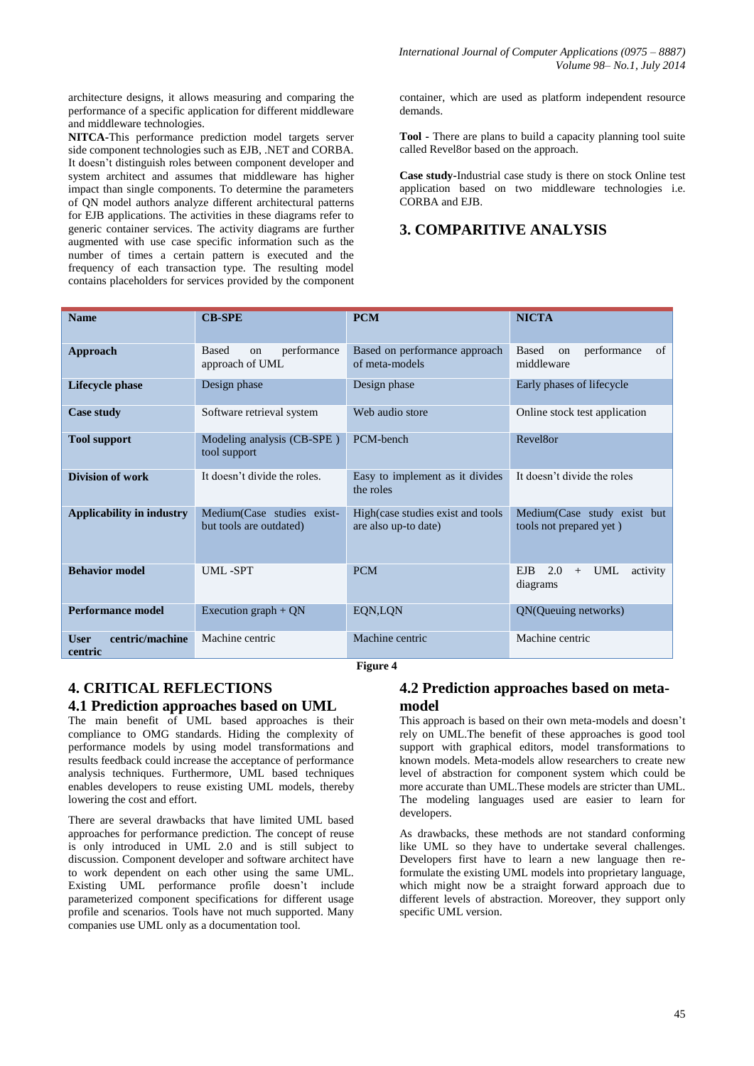architecture designs, it allows measuring and comparing the performance of a specific application for different middleware and middleware technologies.

**NITCA-**This performance prediction model targets server side component technologies such as EJB, .NET and CORBA. It doesn't distinguish roles between component developer and system architect and assumes that middleware has higher impact than single components. To determine the parameters of QN model authors analyze different architectural patterns for EJB applications. The activities in these diagrams refer to generic container services. The activity diagrams are further augmented with use case specific information such as the number of times a certain pattern is executed and the frequency of each transaction type. The resulting model contains placeholders for services provided by the component container, which are used as platform independent resource demands.

**Tool -** There are plans to build a capacity planning tool suite called Revel8or based on the approach.

**Case study-**Industrial case study is there on stock Online test application based on two middleware technologies i.e. CORBA and EJB.

# **3. COMPARITIVE ANALYSIS**

| <b>Name</b>                               | <b>CB-SPE</b>                                         | <b>PCM</b>                                                | <b>NICTA</b>                                           |
|-------------------------------------------|-------------------------------------------------------|-----------------------------------------------------------|--------------------------------------------------------|
| <b>Approach</b>                           | performance<br><b>Based</b><br>on<br>approach of UML  | Based on performance approach<br>of meta-models           | <b>Based</b><br>performance<br>of<br>on<br>middleware  |
| <b>Lifecycle phase</b>                    | Design phase                                          | Design phase                                              | Early phases of lifecycle                              |
| <b>Case study</b>                         | Software retrieval system                             | Web audio store                                           | Online stock test application                          |
| <b>Tool support</b>                       | Modeling analysis (CB-SPE)<br>tool support            | PCM-bench                                                 | Revel8or                                               |
| <b>Division of work</b>                   | It doesn't divide the roles.                          | Easy to implement as it divides<br>the roles              | It doesn't divide the roles                            |
| <b>Applicability in industry</b>          | Medium(Case studies exist-<br>but tools are outdated) | High(case studies exist and tools<br>are also up-to date) | Medium(Case study exist but<br>tools not prepared yet) |
| <b>Behavior model</b>                     | UML-SPT                                               | <b>PCM</b>                                                | 2.0<br>UML<br>EJB.<br>activity<br>$+$<br>diagrams      |
| <b>Performance model</b>                  | Execution graph $+$ QN                                | EQN,LQN                                                   | QN(Queuing networks)                                   |
| centric/machine<br><b>User</b><br>centric | Machine centric                                       | Machine centric<br><b>Figure 4</b>                        | Machine centric                                        |

# **4. CRITICAL REFLECTIONS 4.1 Prediction approaches based on UML**

The main benefit of UML based approaches is their compliance to OMG standards. Hiding the complexity of performance models by using model transformations and results feedback could increase the acceptance of performance analysis techniques. Furthermore, UML based techniques enables developers to reuse existing UML models, thereby lowering the cost and effort.

There are several drawbacks that have limited UML based approaches for performance prediction. The concept of reuse is only introduced in UML 2.0 and is still subject to discussion. Component developer and software architect have to work dependent on each other using the same UML. Existing UML performance profile doesn't include parameterized component specifications for different usage profile and scenarios. Tools have not much supported. Many companies use UML only as a documentation tool.

## **4.2 Prediction approaches based on metamodel**

This approach is based on their own meta-models and doesn't rely on UML.The benefit of these approaches is good tool support with graphical editors, model transformations to known models. Meta-models allow researchers to create new level of abstraction for component system which could be more accurate than UML.These models are stricter than UML. The modeling languages used are easier to learn for developers.

As drawbacks, these methods are not standard conforming like UML so they have to undertake several challenges. Developers first have to learn a new language then reformulate the existing UML models into proprietary language, which might now be a straight forward approach due to different levels of abstraction. Moreover, they support only specific UML version.